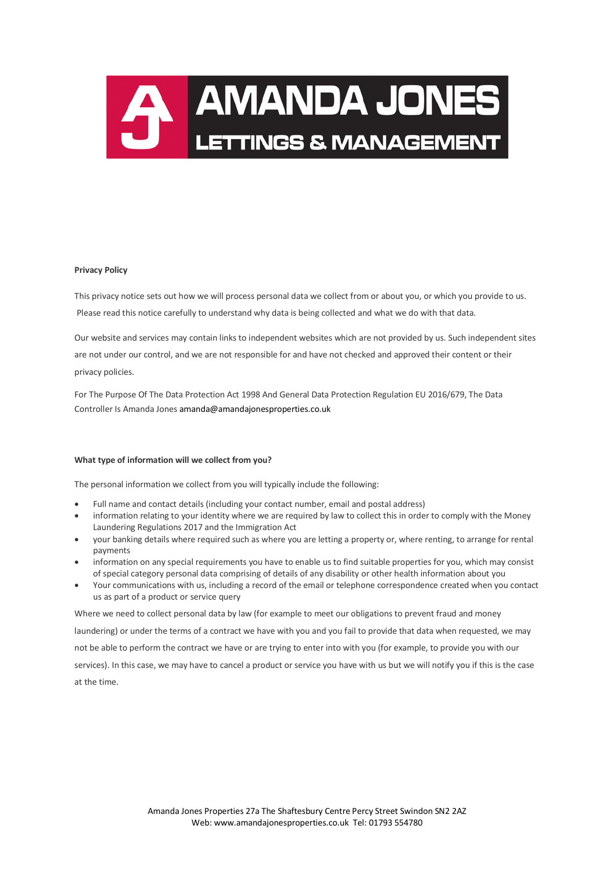

# **Privacy Policy**

This privacy notice sets out how we will process personal data we collect from or about you, or which you provide to us. Please read this notice carefully to understand why data is being collected and what we do with that data.

Our website and services may contain links to independent websites which are not provided by us. Such independent sites are not under our control, and we are not responsible for and have not checked and approved their content or their privacy policies.

For The Purpose Of The Data Protection Act 1998 And General Data Protection Regulation EU 2016/679, The Data Controller Is Amanda Jones amanda@amandajonesproperties.co.uk

## **What type of information will we collect from you?**

The personal information we collect from you will typically include the following:

- Full name and contact details (including your contact number, email and postal address)
- information relating to your identity where we are required by law to collect this in order to comply with the Money Laundering Regulations 2017 and the Immigration Act
- your banking details where required such as where you are letting a property or, where renting, to arrange for rental payments
- information on any special requirements you have to enable us to find suitable properties for you, which may consist of special category personal data comprising of details of any disability or other health information about you
- Your communications with us, including a record of the email or telephone correspondence created when you contact us as part of a product or service query

Where we need to collect personal data by law (for example to meet our obligations to prevent fraud and money laundering) or under the terms of a contract we have with you and you fail to provide that data when requested, we may not be able to perform the contract we have or are trying to enter into with you (for example, to provide you with our services). In this case, we may have to cancel a product or service you have with us but we will notify you if this is the case at the time.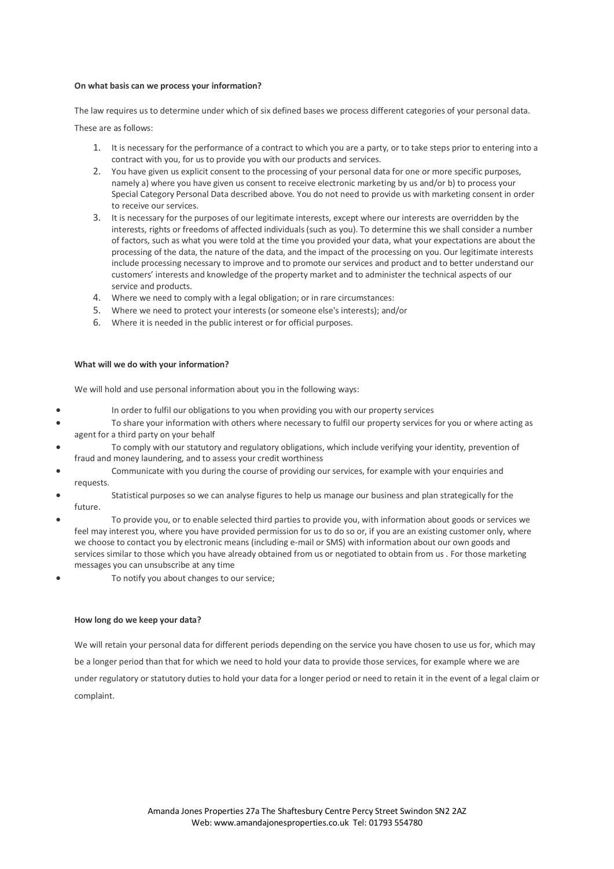## **On what basis can we process your information?**

The law requires us to determine under which of six defined bases we process different categories of your personal data.

These are as follows:

- 1. It is necessary for the performance of a contract to which you are a party, or to take steps prior to entering into a contract with you, for us to provide you with our products and services.
- 2. You have given us explicit consent to the processing of your personal data for one or more specific purposes, namely a) where you have given us consent to receive electronic marketing by us and/or b) to process your Special Category Personal Data described above. You do not need to provide us with marketing consent in order to receive our services.
- 3. It is necessary for the purposes of our legitimate interests, except where our interests are overridden by the interests, rights or freedoms of affected individuals (such as you). To determine this we shall consider a number of factors, such as what you were told at the time you provided your data, what your expectations are about the processing of the data, the nature of the data, and the impact of the processing on you. Our legitimate interests include processing necessary to improve and to promote our services and product and to better understand our customers' interests and knowledge of the property market and to administer the technical aspects of our service and products.
- 4. Where we need to comply with a legal obligation; or in rare circumstances:
- 5. Where we need to protect your interests (or someone else's interests); and/or
- 6. Where it is needed in the public interest or for official purposes.

### **What will we do with your information?**

We will hold and use personal information about you in the following ways:

- In order to fulfil our obligations to you when providing you with our property services
- To share your information with others where necessary to fulfil our property services for you or where acting as agent for a third party on your behalf
- To comply with our statutory and regulatory obligations, which include verifying your identity, prevention of fraud and money laundering, and to assess your credit worthiness
- Communicate with you during the course of providing our services, for example with your enquiries and requests.
- Statistical purposes so we can analyse figures to help us manage our business and plan strategically for the future.
- To provide you, or to enable selected third parties to provide you, with information about goods or services we feel may interest you, where you have provided permission for us to do so or, if you are an existing customer only, where we choose to contact you by electronic means (including e-mail or SMS) with information about our own goods and services similar to those which you have already obtained from us or negotiated to obtain from us . For those marketing messages you can unsubscribe at any time
- To notify you about changes to our service;

## **How long do we keep your data?**

We will retain your personal data for different periods depending on the service you have chosen to use us for, which may be a longer period than that for which we need to hold your data to provide those services, for example where we are under regulatory or statutory duties to hold your data for a longer period or need to retain it in the event of a legal claim or complaint.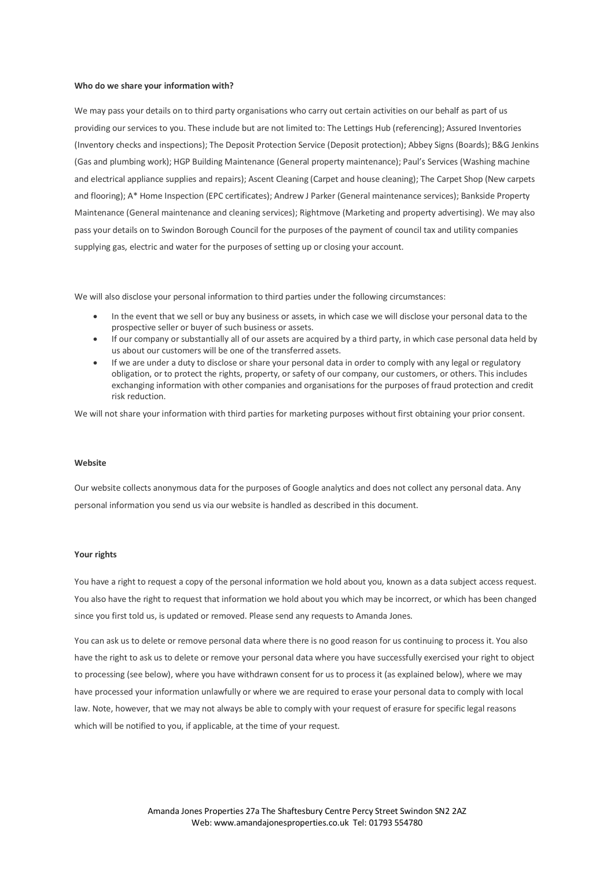#### **Who do we share your information with?**

We may pass your details on to third party organisations who carry out certain activities on our behalf as part of us providing our services to you. These include but are not limited to: The Lettings Hub (referencing); Assured Inventories (Inventory checks and inspections); The Deposit Protection Service (Deposit protection); Abbey Signs (Boards); B&G Jenkins (Gas and plumbing work); HGP Building Maintenance (General property maintenance); Paul's Services (Washing machine and electrical appliance supplies and repairs); Ascent Cleaning (Carpet and house cleaning); The Carpet Shop (New carpets and flooring); A\* Home Inspection (EPC certificates); Andrew J Parker (General maintenance services); Bankside Property Maintenance (General maintenance and cleaning services); Rightmove (Marketing and property advertising). We may also pass your details on to Swindon Borough Council for the purposes of the payment of council tax and utility companies supplying gas, electric and water for the purposes of setting up or closing your account.

We will also disclose your personal information to third parties under the following circumstances:

- In the event that we sell or buy any business or assets, in which case we will disclose your personal data to the prospective seller or buyer of such business or assets.
- If our company or substantially all of our assets are acquired by a third party, in which case personal data held by us about our customers will be one of the transferred assets.
- If we are under a duty to disclose or share your personal data in order to comply with any legal or regulatory obligation, or to protect the rights, property, or safety of our company, our customers, or others. This includes exchanging information with other companies and organisations for the purposes of fraud protection and credit risk reduction.

We will not share your information with third parties for marketing purposes without first obtaining your prior consent.

### **Website**

Our website collects anonymous data for the purposes of Google analytics and does not collect any personal data. Any personal information you send us via our website is handled as described in this document.

#### **Your rights**

You have a right to request a copy of the personal information we hold about you, known as a data subject access request. You also have the right to request that information we hold about you which may be incorrect, or which has been changed since you first told us, is updated or removed. Please send any requests to Amanda Jones.

You can ask us to delete or remove personal data where there is no good reason for us continuing to process it. You also have the right to ask us to delete or remove your personal data where you have successfully exercised your right to object to processing (see below), where you have withdrawn consent for us to process it (as explained below), where we may have processed your information unlawfully or where we are required to erase your personal data to comply with local law. Note, however, that we may not always be able to comply with your request of erasure for specific legal reasons which will be notified to you, if applicable, at the time of your request.